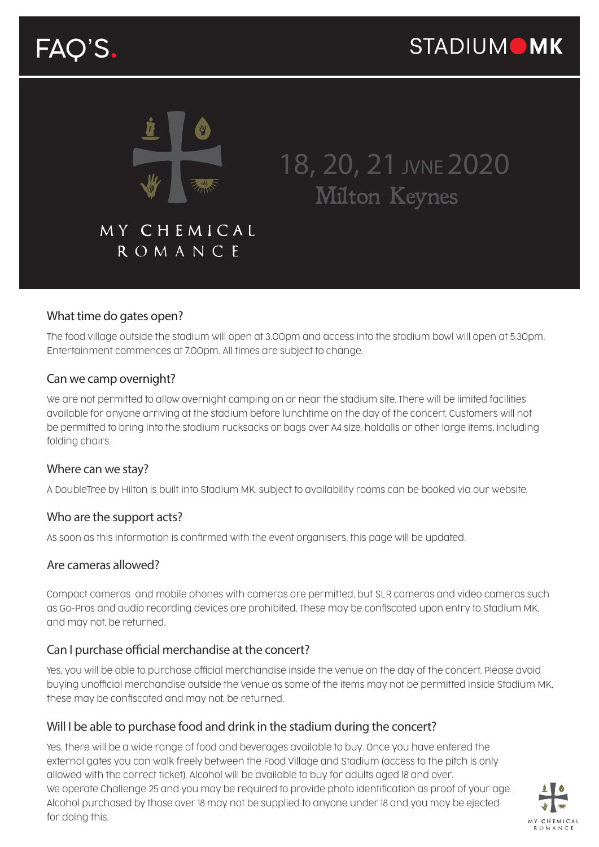# FAQ'S.



## 18, 20, 21 JVNE 2020 Milton Keynes

### MY CHEMICAL ROMANCE

#### What time do gates open?

The food village outside the stadium will open at 3.00pm and access into the stadium bowl will open at 5.30pm. Entertainment commences at 7.00pm. All times are subject to change.

#### Can we camp overnight?

We are not permitted to allow overnight camping on or near the stadium site. There will be limited facilities available for anyone arriving at the stadium before lunchtime on the day of the concert. Customers will not be permitted to bring into the stadium rucksacks or bags over A4 size, holdalls or other large items, including folding chairs.

#### Where can we stay?

A DoubleTree by Hilton is built into Stadium MK, subject to availability rooms can be booked via our website.

#### Who are the support acts?

As soon as this information is confirmed with the event organisers, this page will be updated.

#### Are cameras allowed?

Compact cameras and mobile phones with cameras are permitted, but SLR cameras and video cameras such as Go-Pros and audio recording devices are prohibited. These may be confiscated upon entry to Stadium MK, and may not, be returned.

#### Can I purchase official merchandise at the concert?

Yes, you will be able to purchase official merchandise inside the venue on the day of the concert. Please avoid buying unofficial merchandise outside the venue as some of the items may not be permitted inside Stadium MK, these may be confiscated and may not, be returned.

#### Will I be able to purchase food and drink in the stadium during the concert?

Yes, there will be a wide range of food and beverages available to buy. Once you have entered the external gates you can walk freely between the Food Village and Stadium (access to the pitch is only allowed with the correct ticket). Alcohol will be available to buy for adults aged 18 and over. We operate Challenge 25 and you may be required to provide photo identification as proof of your age. Alcohol purchased by those over 18 may not be supplied to anyone under 18 and you may be ejected for doing this.

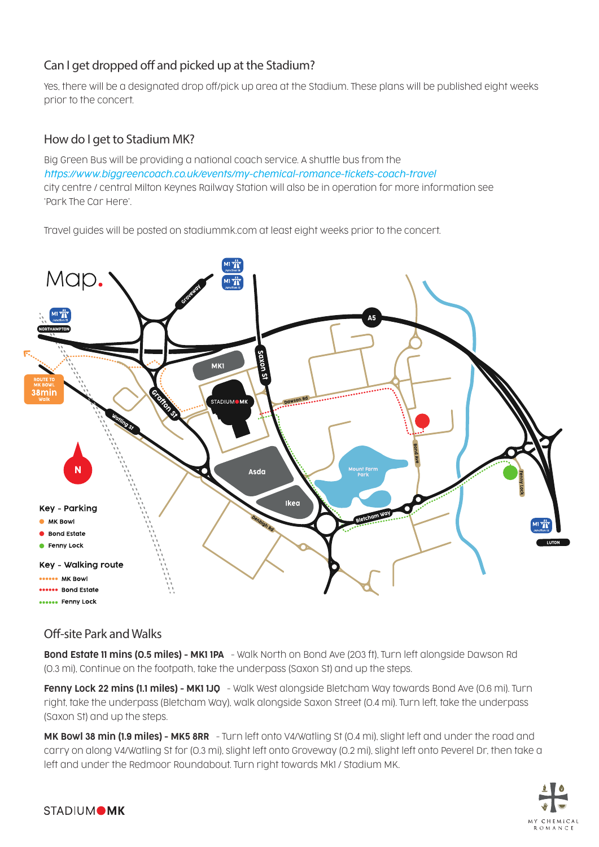#### Can I get dropped off and picked up at the Stadium?

Yes, there will be a designated drop off/pick up area at the Stadium. These plans will be published eight weeks prior to the concert.

#### How do I get to Stadium MK?

Big Green Bus will be providing a national coach service. A shuttle bus from the *https://www.biggreencoach.co.uk/events/my-chemical-romance-tickets-coach-travel* city centre / central Milton Keynes Railway Station will also be in operation for more information see 'Park The Car Here'.

Travel guides will be posted on stadiummk.com at least eight weeks prior to the concert.



#### Off-site Park and Walks

Bond Estate 11 mins (0.5 miles) - MK1 1PA - Walk North on Bond Ave (203 ft), Turn left alongside Dawson Rd (0.3 mi), Continue on the footpath, take the underpass (Saxon St) and up the steps.

Fenny Lock 22 mins (1.1 miles) - MK1 1JO - Walk West alonaside Bletcham Way towards Bond Ave (0.6 mi). Turn right, take the underpass (Bletcham Way), walk alongside Saxon Street (0.4 mi). Turn left, take the underpass (Saxon St) and up the steps.

MK Bowl 38 min (1.9 miles) - MK5 8RR - Turn left onto V4/Watling St (0.4 mi), slight left and under the road and carry on along V4/Watling St for (0.3 mi), slight left onto Groveway (0.2 mi), slight left onto Peverel Dr, then take a left and under the Redmoor Roundabout. Turn right towards Mk1 / Stadium MK.

![](_page_1_Picture_10.jpeg)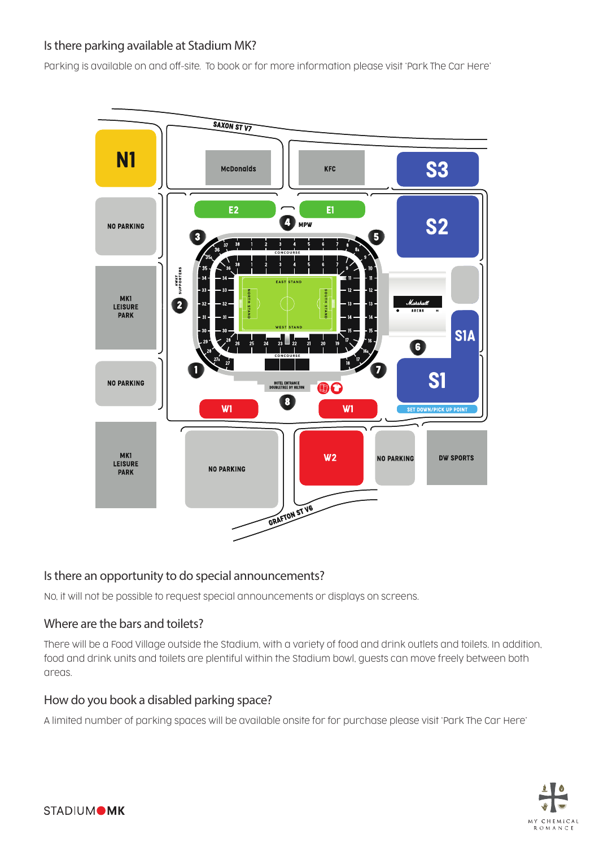#### Is there parking available at Stadium MK?

Parking is available on and off-site. To book or for more information please visit 'Park The Car Here'

![](_page_2_Figure_2.jpeg)

#### Is there an opportunity to do special announcements?

No, it will not be possible to request special announcements or displays on screens.

#### Where are the bars and toilets?

There will be a Food Village outside the Stadium, with a variety of food and drink outlets and toilets. In addition, food and drink units and toilets are plentiful within the Stadium bowl, guests can move freely between both areas.

#### How do you book a disabled parking space?

A limited number of parking spaces will be available onsite for for purchase please visit 'Park The Car Here'

![](_page_2_Picture_9.jpeg)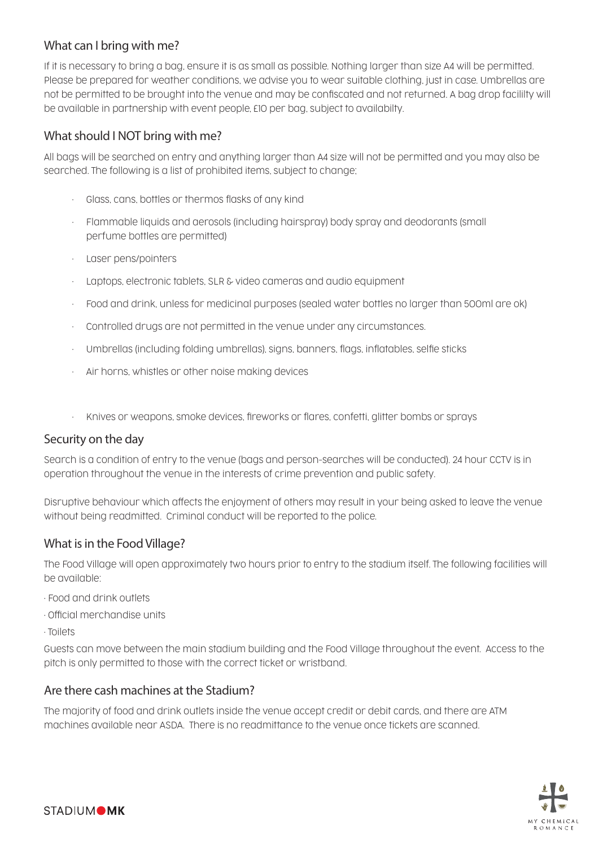#### What can I bring with me?

If it is necessary to bring a bag, ensure it is as small as possible. Nothing larger than size A4 will be permitted. Please be prepared for weather conditions, we advise you to wear suitable clothing, just in case. Umbrellas are not be permitted to be brought into the venue and may be confiscated and not returned. A bag drop facililty will be available in partnership with event people, £10 per bag, subject to availabilty.

#### What should I NOT bring with me?

All bags will be searched on entry and anything larger than A4 size will not be permitted and you may also be searched. The following is a list of prohibited items, subject to change;

- Glass, cans, bottles or thermos flasks of any kind
- Flammable liquids and aerosols (including hairspray) body spray and deodorants (small perfume bottles are permitted)
- Laser pens/pointers
- Laptops, electronic tablets, SLR & video cameras and audio equipment
- Food and drink, unless for medicinal purposes (sealed water bottles no larger than 500ml are ok)
- Controlled drugs are not permitted in the venue under any circumstances.
- Umbrellas (including folding umbrellas), signs, banners, flags, inflatables, selfie sticks
- Air horns, whistles or other noise making devices
- Knives or weapons, smoke devices, fireworks or flares, confetti, glitter bombs or sprays

#### Security on the day

Search is a condition of entry to the venue (bags and person-searches will be conducted). 24 hour CCTV is in operation throughout the venue in the interests of crime prevention and public safety.

Disruptive behaviour which affects the enjoyment of others may result in your being asked to leave the venue without being readmitted. Criminal conduct will be reported to the police.

#### What is in the Food Village?

The Food Village will open approximately two hours prior to entry to the stadium itself. The following facilities will be available:

- Food and drink outlets
- Official merchandise units
- Toilets

Guests can move between the main stadium building and the Food Village throughout the event. Access to the pitch is only permitted to those with the correct ticket or wristband.

#### Are there cash machines at the Stadium?

The majority of food and drink outlets inside the venue accept credit or debit cards, and there are ATM machines available near ASDA. There is no readmittance to the venue once tickets are scanned.

![](_page_3_Picture_24.jpeg)